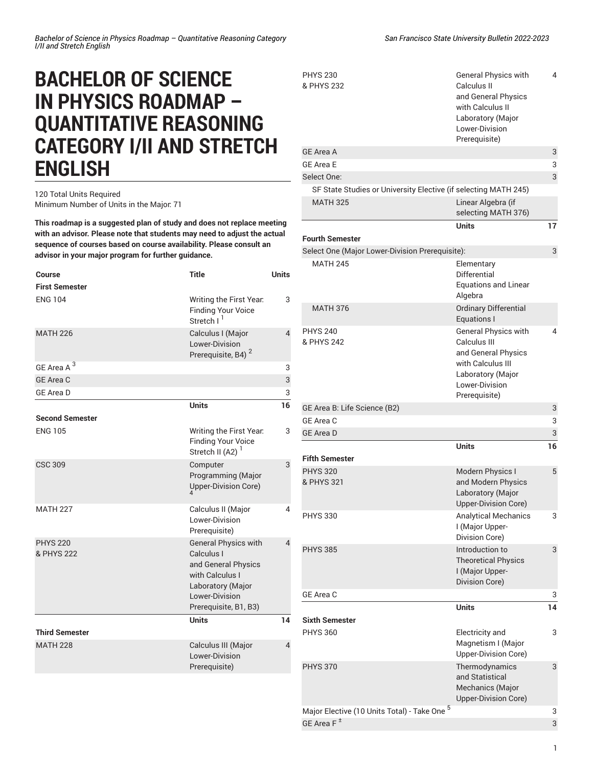## **BACHELOR OF SCIENCE IN PHYSICS ROADMAP – QUANTITATIVE REASONING CATEGORY I/II AND STRETCH ENGLISH**

## 120 Total Units Required Minimum Number of Units in the Major: 71

**This roadmap is a suggested plan of study and does not replace meeting with an advisor. Please note that students may need to adjust the actual sequence of courses based on course availability. Please consult an advisor in your major program for further guidance.**

| <b>Course</b>                 | <b>Title</b>                                                                                                                                        | <b>Units</b>   |
|-------------------------------|-----------------------------------------------------------------------------------------------------------------------------------------------------|----------------|
| <b>First Semester</b>         |                                                                                                                                                     |                |
| <b>ENG 104</b>                | Writing the First Year.<br><b>Finding Your Voice</b><br>Stretch I <sup>1</sup>                                                                      | 3              |
| <b>MATH 226</b>               | Calculus I (Major<br>Lower-Division<br>Prerequisite, B4) <sup>2</sup>                                                                               | 4              |
| GE Area A <sup>3</sup>        |                                                                                                                                                     | 3              |
| <b>GE Area C</b>              |                                                                                                                                                     | $\mathbf{3}$   |
| <b>GE Area D</b>              |                                                                                                                                                     | 3              |
|                               | <b>Units</b>                                                                                                                                        | 16             |
| <b>Second Semester</b>        |                                                                                                                                                     |                |
| <b>ENG 105</b>                | Writing the First Year.<br><b>Finding Your Voice</b><br>Stretch II (A2) $1$                                                                         | 3              |
| <b>CSC 309</b>                | Computer<br>Programming (Major<br>Upper-Division Core)                                                                                              | 3              |
| <b>MATH 227</b>               | Calculus II (Major<br>Lower-Division<br>Prerequisite)                                                                                               | 4              |
| <b>PHYS 220</b><br>& PHYS 222 | <b>General Physics with</b><br>Calculus I<br>and General Physics<br>with Calculus I<br>Laboratory (Major<br>Lower-Division<br>Prerequisite, B1, B3) | $\overline{4}$ |
| <b>Third Semester</b>         | <b>Units</b>                                                                                                                                        | 14             |
| <b>MATH 228</b>               | Calculus III (Major<br>Lower-Division<br>Prerequisite)                                                                                              | 4              |

General Physics with Calculus II and General Physics with Calculus II Laboratory (Major Lower-Division Prerequisite) 4 GE [Area](/undergraduate-education/general-education/lower-division/#areaatext) A 3 GE [Area](/undergraduate-education/general-education/lower-division/#areaetext) E 3 Select One: 3 and 3 and 3 and 3 and 3 and 3 and 3 and 3 and 3 and 3 and 3 and 3 and 3 and 3 and 3 and 3 and 3 and 3 and 3 and 3 and 3 and 3 and 3 and 3 and 3 and 3 and 3 and 3 and 3 and 3 and 3 and 3 and 3 and 3 and 3 and SF State Studies or [University](/undergraduate-education/sf-state-studies/) Elective (if selecting MATH 245) MATH 325 Linear Algebra (if selecting MATH 376) **Units 17**

|                                                 | <b>Units</b>                                                                                                                                    | 17 |
|-------------------------------------------------|-------------------------------------------------------------------------------------------------------------------------------------------------|----|
| <b>Fourth Semester</b>                          |                                                                                                                                                 |    |
| Select One (Major Lower-Division Prerequisite): |                                                                                                                                                 | 3  |
| <b>MATH 245</b>                                 | Elementary<br><b>Differential</b><br><b>Equations and Linear</b><br>Algebra                                                                     |    |
| <b>MATH 376</b>                                 | <b>Ordinary Differential</b><br>Equations I                                                                                                     |    |
| <b>PHYS 240</b><br>& PHYS 242                   | <b>General Physics with</b><br>Calculus III<br>and General Physics<br>with Calculus III<br>Laboratory (Major<br>Lower-Division<br>Prerequisite) | 4  |
| GE Area B: Life Science (B2)                    |                                                                                                                                                 | 3  |
| GE Area C                                       |                                                                                                                                                 | 3  |
| <b>GE Area D</b>                                |                                                                                                                                                 | 3  |
|                                                 | <b>Units</b>                                                                                                                                    | 16 |
| <b>Fifth Semester</b>                           |                                                                                                                                                 |    |
| <b>PHYS 320</b><br>& PHYS 321                   | <b>Modern Physics I</b><br>and Modern Physics<br>Laboratory (Major<br><b>Upper-Division Core)</b>                                               | 5  |
| <b>PHYS 330</b>                                 | <b>Analytical Mechanics</b><br>I (Major Upper-<br>Division Core)                                                                                | 3  |
| <b>PHYS 385</b>                                 | Introduction to<br><b>Theoretical Physics</b><br>I (Major Upper-<br>Division Core)                                                              | 3  |
| GE Area C                                       |                                                                                                                                                 | 3  |
|                                                 | <b>Units</b>                                                                                                                                    | 14 |
| <b>Sixth Semester</b>                           |                                                                                                                                                 |    |
| <b>PHYS 360</b>                                 | Electricity and<br>Magnetism I (Major<br>Upper-Division Core)                                                                                   | 3  |
| <b>PHYS 370</b>                                 | Thermodynamics<br>and Statistical<br>Mechanics (Major<br>Upper-Division Core)                                                                   | 3  |
| Major Elective (10 Units Total) - Take One 5    |                                                                                                                                                 | 3  |
| GE Area F <sup>±</sup>                          |                                                                                                                                                 | 3  |

PHYS 230 & PHYS 232